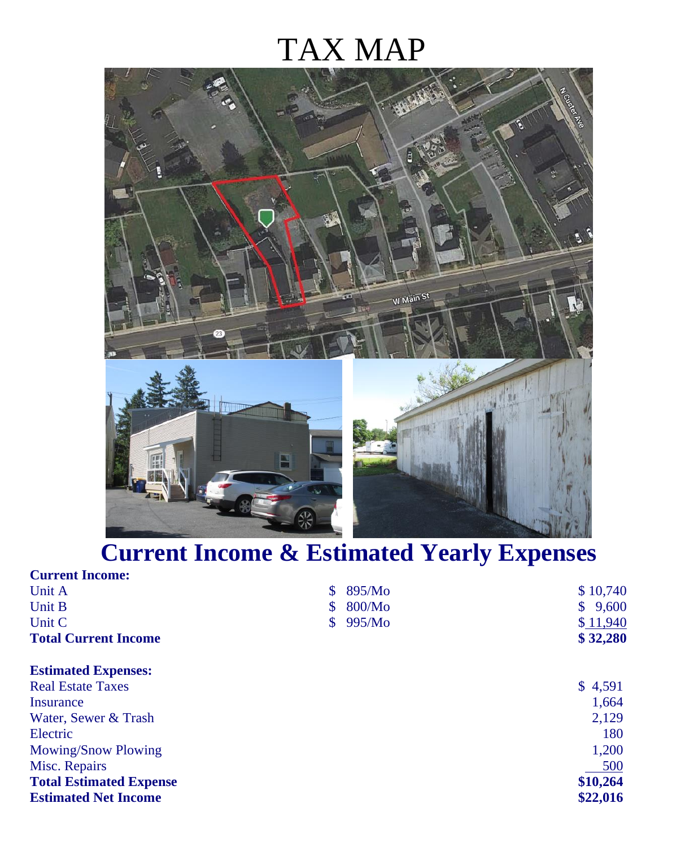# TAX MAP



## **Current Income & Estimated Yearly Expenses**

#### **Current Income:**

| Current mcome:                 |        |          |
|--------------------------------|--------|----------|
| Unit A                         | 895/Mo | \$10,740 |
| Unit B                         | 800/Mo | \$9,600  |
| Unit C                         | 995/Mo | \$11,940 |
| <b>Total Current Income</b>    |        | \$32,280 |
| <b>Estimated Expenses:</b>     |        |          |
| <b>Real Estate Taxes</b>       |        | \$4,591  |
| Insurance                      |        | 1,664    |
| Water, Sewer & Trash           |        | 2,129    |
| Electric                       |        | 180      |
| Mowing/Snow Plowing            |        | 1,200    |
| Misc. Repairs                  |        | 500      |
| <b>Total Estimated Expense</b> |        | \$10,264 |
| <b>Estimated Net Income</b>    |        | \$22,016 |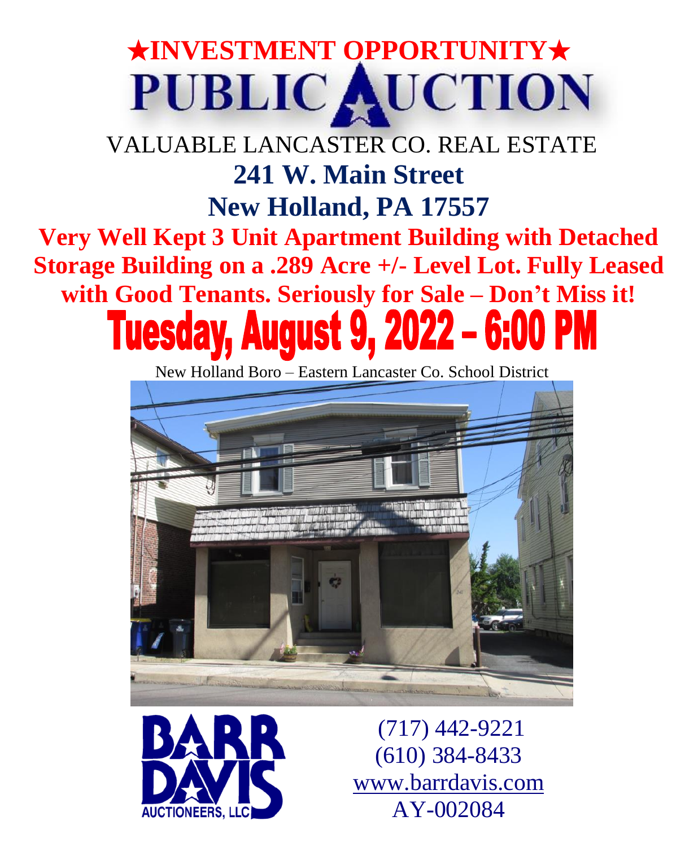# ★**INVESTMENT OPPORTUNITY**★ PUBLIC AUCTION

VALUABLE LANCASTER CO. REAL ESTATE **241 W. Main Street New Holland, PA 17557 Very Well Kept 3 Unit Apartment Building with Detached Storage Building on a .289 Acre +/- Level Lot. Fully Leased with Good Tenants. Seriously for Sale – Don't Miss it! 0 PM Fuesday, August 9,** 

New Holland Boro – Eastern Lancaster Co. School District





(717) 442-9221 (610) 384-8433 [www.barrdavis.com](http://www.barrdavis.com/) AY-002084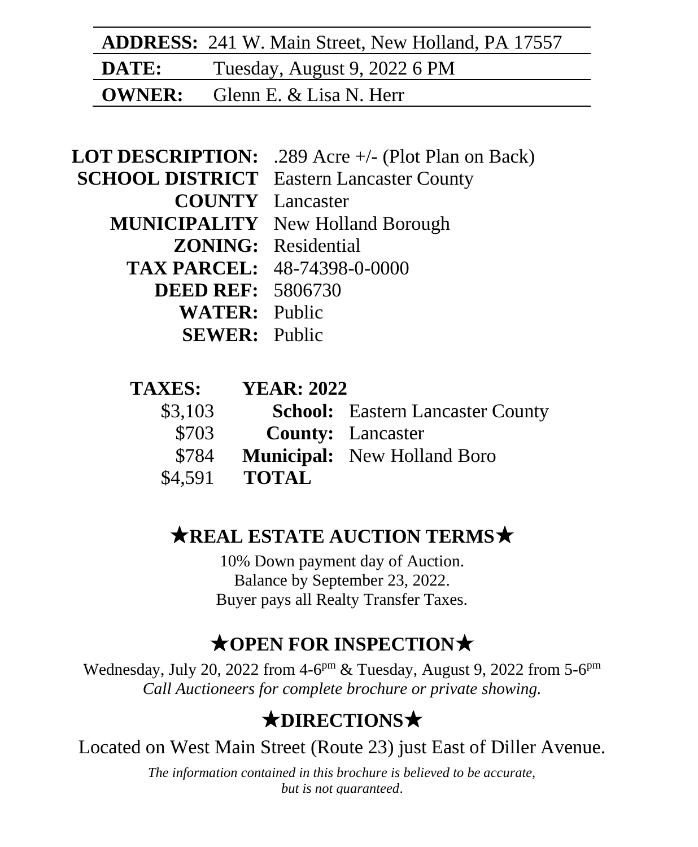|       | <b>ADDRESS:</b> 241 W. Main Street, New Holland, PA 17557 |
|-------|-----------------------------------------------------------|
| DATE: | Tuesday, August 9, 2022 6 PM                              |
|       | <b>OWNER:</b> Glenn E. $\&$ Lisa N. Herr                  |

**LOT DESCRIPTION:** .289 Acre +/- (Plot Plan on Back) **SCHOOL DISTRICT** Eastern Lancaster County **COUNTY** Lancaster **MUNICIPALITY** New Holland Borough **ZONING:** Residential **TAX PARCEL:** 48-74398-0-0000 **DEED REF:** 5806730 **WATER:** Public **SEWER:** Public

| <b>TAXES:</b> | <b>YEAR: 2022</b> |                                         |
|---------------|-------------------|-----------------------------------------|
| \$3,103       |                   | <b>School:</b> Eastern Lancaster County |
| \$703         |                   | <b>County:</b> Lancaster                |
| \$784         |                   | <b>Municipal:</b> New Holland Boro      |
| \$4.591       | <b>TOTAL</b>      |                                         |

#### **REAL ESTATE AUCTION TERMS**

10% Down payment day of Auction. Balance by September 23, 2022. Buyer pays all Realty Transfer Taxes.

#### **OPEN FOR INSPECTION**

Wednesday, July 20, 2022 from 4-6<sup>pm</sup> & Tuesday, August 9, 2022 from 5-6<sup>pm</sup> *Call Auctioneers for complete brochure or private showing.*

#### $\star$ DIRECTIONS $\star$

Located on West Main Street (Route 23) just East of Diller Avenue.

*The information contained in this brochure is believed to be accurate, but is not guaranteed*.